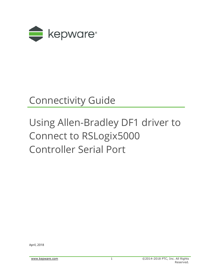

## Connectivity Guide

# Using Allen-Bradley DF1 driver to Connect to RSLogix5000 Controller Serial Port

April, 2018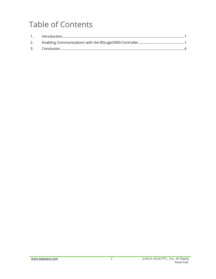### **Table of Contents**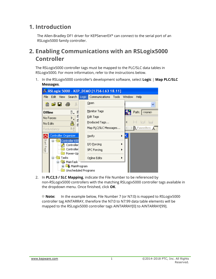#### <span id="page-2-0"></span>**1. Introduction**

The Allen-Bradley DF1 driver for KEPServerEX® can connect to the serial port of an RSLogix5000 family controller.

#### <span id="page-2-1"></span>**2. Enabling Communications with an RSLogix5000 Controller**

The RSLogix5000 controller tags must be mapped to the PLC/SLC data tables in RSLogix5000. For more information, refer to the instructions below.

1. In the RSLogix5000 controller's development software, select **Logic** | **Map PLC/SLC Messages**.

| <b>&amp; RSLogix 5000 - KEP_DEMO [1756-L63 18.11]</b> |                                         |                                  |  |  |  |  |
|-------------------------------------------------------|-----------------------------------------|----------------------------------|--|--|--|--|
| Search<br>File<br>Edit<br><b>View</b>                 | Logic<br>Communications<br><b>Tools</b> | <b>Window</b><br>Help            |  |  |  |  |
| 56<br>ê cê li<br>- 4                                  | Open                                    |                                  |  |  |  |  |
| <b>Offline</b>                                        | Monitor Tags                            | Path:<br><none></none>           |  |  |  |  |
| ш<br>No Forces                                        | Edit Tags                               |                                  |  |  |  |  |
| П<br>ā<br>No Edits                                    | Produced Tags                           | 4<br><b>Indi</b>                 |  |  |  |  |
| 队员<br>Redundancy                                      | Map PLC/SLC Messages                    | <b>N</b> Favorites $\bigwedge$ A |  |  |  |  |
| Controller Organizer                                  | Verify                                  |                                  |  |  |  |  |
| Start Page<br>Controller KEF<br>Controller            | I/O Eorcing                             |                                  |  |  |  |  |
| Controller<br>Power-Up                                | <b>SFC Forcing</b>                      |                                  |  |  |  |  |
| Tasks                                                 | Online Edits                            |                                  |  |  |  |  |
| MainTask<br>-- MainProgram                            | Unscheduled Programs                    |                                  |  |  |  |  |

2. In **PLC2,5 / SLC Mapping**, indicate the File Number to be referenced by non-RSLogix5000 controllers with the matching RSLogix5000 controller tags available in the dropdown menu. Once finished, click **OK**.

**Note:** In the example below, File Number 7 (or N7:0) is mapped to RSLogix5000 controller tag AINTARRAY, therefore the N7:0 to N7:99 data table elements will be mapped to the RSLogix5000 controller tags AINTARRAY[0] to AINTARRAY[99].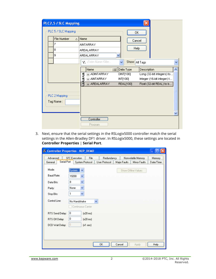| PLC2,5 / SLC Mapping       |                                                                                                                                                                                                                                                                                       |
|----------------------------|---------------------------------------------------------------------------------------------------------------------------------------------------------------------------------------------------------------------------------------------------------------------------------------|
| PLC 5 / SLC Mapping        | OΚ                                                                                                                                                                                                                                                                                    |
| <b>File Number</b><br>Δ.   | Name<br>Cancel                                                                                                                                                                                                                                                                        |
|                            | <b>AINTARRAY</b>                                                                                                                                                                                                                                                                      |
| 8                          | Help<br>AREALARRAY                                                                                                                                                                                                                                                                    |
| 9                          | <b>AREALARRAY</b>                                                                                                                                                                                                                                                                     |
|                            | Y. Enter Name Filter<br>Show: All Tags<br>v                                                                                                                                                                                                                                           |
| PLC 2 Mapping<br>Tag Name: | Description<br>Name<br><b>= B</b> Data Type<br>j<br><b>FI-ADINTARRAY</b><br>DINT[100]<br>Long (32-bit integers) to<br>f<br>INT[100]<br>⊞-AINTARRAY<br>Integer (16-bit integer) t<br>A<br><b>T-AREALARRAY</b><br><b>REAL[100]</b><br>Float (32-bit REAL) to b<br>Controller<br>Program |

3. Next, ensure that the serial settings in the RSLogix5000 controller match the serial settings in the Allen-Bradley DF1 driver. In RSLogix5000, these settings are located in **Controller Properties** | **Serial Port**.

| <sup>88</sup> Controller Properties - KEP_DEMO |                                    |               |              |                     |           |
|------------------------------------------------|------------------------------------|---------------|--------------|---------------------|-----------|
| Advanced                                       | <b>SFC Execution</b><br>File       | Redundancy    |              | Nonvolatile Memory  | Memory    |
| Serial Port<br>General                         | System Protocol                    | User Protocol | Major Faults | Minor Faults        | Date/Time |
| Mode:                                          | System<br>$\checkmark$             |               |              | Show Offline Values |           |
| Baud Rate:                                     | 19200<br>Y                         |               |              |                     |           |
| Data Bits:                                     | Y<br>8                             |               |              |                     |           |
| Parity:                                        | v<br>None                          |               |              |                     |           |
| Stop Bits:                                     | Y<br>1                             |               |              |                     |           |
| Control Line:                                  | No Handshake<br>Continuous Carrier | $\checkmark$  |              |                     |           |
| RTS Send Delay:                                | 0<br>[x20 ms]                      |               |              |                     |           |
| RTS Off Delay:                                 | 0<br>[x20 ms]                      |               |              |                     |           |
| DCD Wait Delay:                                | 0<br>$[x1 \text{ sec}]$            |               |              |                     |           |
|                                                |                                    |               |              |                     |           |
|                                                |                                    | 0K            | Cancel       | Apply               | Help      |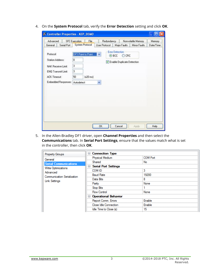4. On the **System Protocol** tab, verify the **Error Detection** setting and click **OK**.

| Advanced            |                                | <b>SFC Execution</b> | File            | Redundancy                              |                        |              | Nonvolatile Memory | Memory    |
|---------------------|--------------------------------|----------------------|-----------------|-----------------------------------------|------------------------|--------------|--------------------|-----------|
| General             | Serial Port                    |                      | System Protocol | User Protocol                           |                        | Major Faults | Minor Faults       | Date/Time |
| Protocol:           |                                | DF1 Point to Point   |                 | $\checkmark$                            | <b>Error Detection</b> |              |                    |           |
| Station Address:    |                                | 0                    |                 | ⊙BCC OCRC<br>Enable Duplicate Detection |                        |              |                    |           |
|                     | <b>NAK Receive Limit:</b>      | 3                    |                 |                                         |                        |              |                    |           |
|                     | <b>ENO Transmit Limit:</b>     | 3                    |                 |                                         |                        |              |                    |           |
| <b>ACK Timeout:</b> |                                | 50                   | [x20 ms]        |                                         |                        |              |                    |           |
|                     | Embedded Responses: Autodetect |                      |                 | ×                                       |                        |              |                    |           |
|                     |                                |                      |                 |                                         |                        |              |                    |           |
|                     |                                |                      |                 |                                         |                        |              |                    |           |
|                     |                                |                      |                 |                                         |                        |              |                    |           |
|                     |                                |                      |                 |                                         |                        |              |                    |           |
|                     |                                |                      |                 |                                         |                        |              |                    |           |
|                     |                                |                      |                 |                                         |                        |              |                    |           |
|                     |                                |                      |                 |                                         |                        |              |                    |           |

5. In the Allen-Bradley DF1 driver, open **Channel Properties** and then select the **Communications** tab. In **Serial Port Settings**, ensure that the values match what is set in the controller, then click **OK**.

| Property Groups                    | <b>Connection Type</b><br>$=$                    |                 |  |
|------------------------------------|--------------------------------------------------|-----------------|--|
| General                            | Physical Medium                                  | <b>COM Port</b> |  |
| <b>Serial Communications</b>       | Shared                                           | No              |  |
| <b>Write Optimizations</b>         | <b>Serial Port Settings</b><br>$\qquad \qquad =$ |                 |  |
| Advanced                           | COM ID                                           | 3               |  |
| <b>Communication Serialization</b> | <b>Baud Rate</b>                                 | 19200           |  |
| <b>Link Settings</b>               | Data Bits                                        | 8               |  |
|                                    | Parity                                           | None            |  |
|                                    | <b>Stop Bits</b>                                 |                 |  |
|                                    | <b>Flow Control</b>                              | None            |  |
|                                    | <b>Operational Behavior</b><br>$-$               |                 |  |
|                                    | Report Comm. Errors                              | Enable          |  |
|                                    | Close Idle Connection                            | Enable          |  |
|                                    | Idle Time to Close (s)                           | 15              |  |